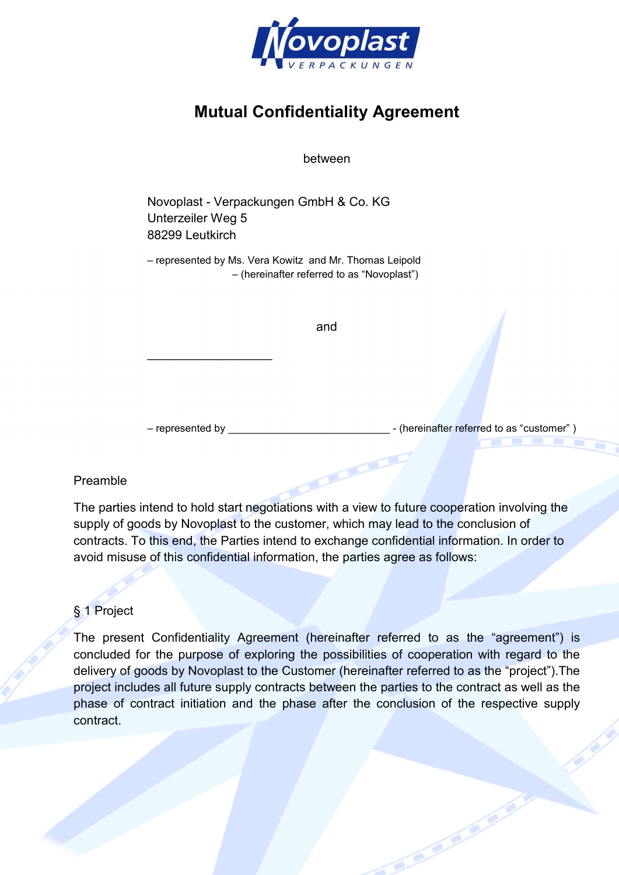

# Mutual Confidentiality Agreement

between

Novoplast - Verpackungen GmbH & Co. KG Unterzeiler Weg 5 88299 Leutkirch

\_\_\_\_\_\_\_\_\_\_\_\_\_\_\_\_\_\_

– represented by Ms. Vera Kowitz and Mr. Thomas Leipold – (hereinafter referred to as "Novoplast")

and

– represented by \_\_\_\_\_\_\_\_\_\_\_\_\_\_\_\_\_\_\_\_\_\_\_\_\_\_\_\_ - (hereinafter referred to as "customer" )

#### Preamble

The parties intend to hold start negotiations with a view to future cooperation involving the supply of goods by Novoplast to the customer, which may lead to the conclusion of contracts. To this end, the Parties intend to exchange confidential information. In order to avoid misuse of this confidential information, the parties agree as follows:

### § 1 Project

The present Confidentiality Agreement (hereinafter referred to as the "agreement") is concluded for the purpose of exploring the possibilities of cooperation with regard to the delivery of goods by Novoplast to the Customer (hereinafter referred to as the "project").The project includes all future supply contracts between the parties to the contract as well as the phase of contract initiation and the phase after the conclusion of the respective supply contract.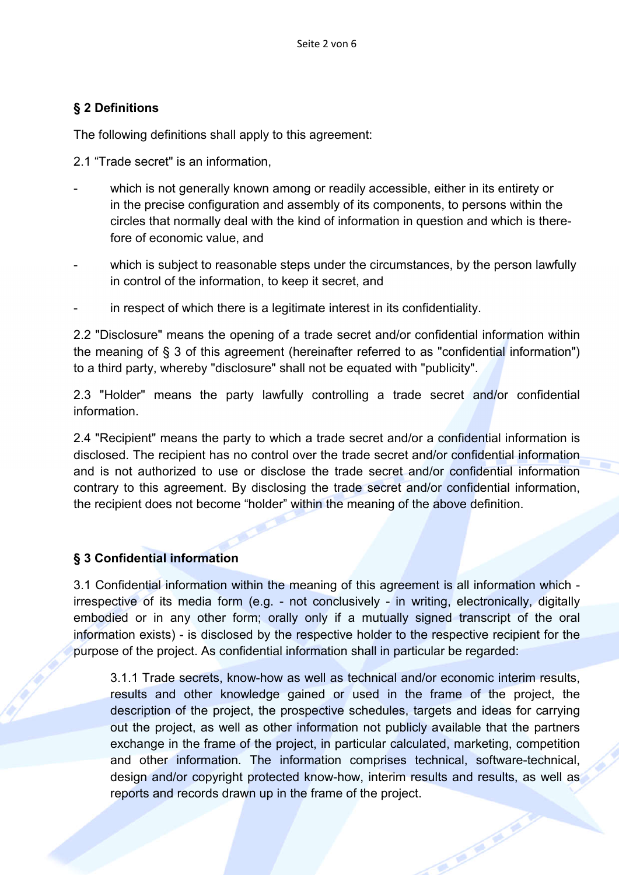## § 2 Definitions

The following definitions shall apply to this agreement:

2.1 "Trade secret" is an information,

- which is not generally known among or readily accessible, either in its entirety or in the precise configuration and assembly of its components, to persons within the circles that normally deal with the kind of information in question and which is therefore of economic value, and
- which is subject to reasonable steps under the circumstances, by the person lawfully in control of the information, to keep it secret, and
- in respect of which there is a legitimate interest in its confidentiality.

2.2 "Disclosure" means the opening of a trade secret and/or confidential information within the meaning of § 3 of this agreement (hereinafter referred to as "confidential information") to a third party, whereby "disclosure" shall not be equated with "publicity".

2.3 "Holder" means the party lawfully controlling a trade secret and/or confidential information.

2.4 "Recipient" means the party to which a trade secret and/or a confidential information is disclosed. The recipient has no control over the trade secret and/or confidential information and is not authorized to use or disclose the trade secret and/or confidential information contrary to this agreement. By disclosing the trade secret and/or confidential information, the recipient does not become "holder" within the meaning of the above definition.

### § 3 Confidential information

3.1 Confidential information within the meaning of this agreement is all information which irrespective of its media form (e.g. - not conclusively - in writing, electronically, digitally embodied or in any other form; orally only if a mutually signed transcript of the oral information exists) - is disclosed by the respective holder to the respective recipient for the purpose of the project. As confidential information shall in particular be regarded:

3.1.1 Trade secrets, know-how as well as technical and/or economic interim results, results and other knowledge gained or used in the frame of the project, the description of the project, the prospective schedules, targets and ideas for carrying out the project, as well as other information not publicly available that the partners exchange in the frame of the project, in particular calculated, marketing, competition and other information. The information comprises technical, software-technical, design and/or copyright protected know-how, interim results and results, as well as reports and records drawn up in the frame of the project.

**RE**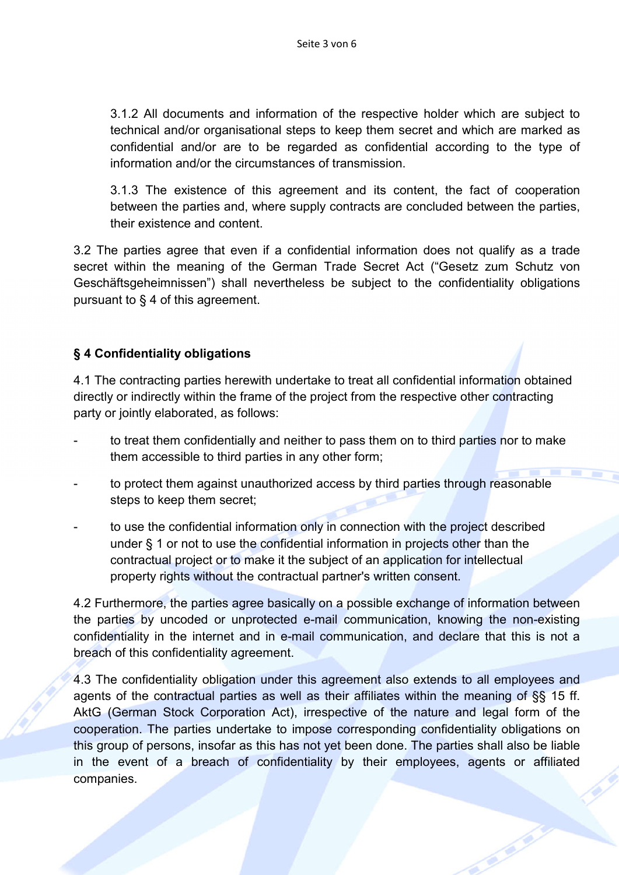3.1.2 All documents and information of the respective holder which are subject to technical and/or organisational steps to keep them secret and which are marked as confidential and/or are to be regarded as confidential according to the type of information and/or the circumstances of transmission.

3.1.3 The existence of this agreement and its content, the fact of cooperation between the parties and, where supply contracts are concluded between the parties, their existence and content.

3.2 The parties agree that even if a confidential information does not qualify as a trade secret within the meaning of the German Trade Secret Act ("Gesetz zum Schutz von Geschäftsgeheimnissen") shall nevertheless be subject to the confidentiality obligations pursuant to § 4 of this agreement.

## § 4 Confidentiality obligations

4.1 The contracting parties herewith undertake to treat all confidential information obtained directly or indirectly within the frame of the project from the respective other contracting party or jointly elaborated, as follows:

- to treat them confidentially and neither to pass them on to third parties nor to make them accessible to third parties in any other form;
- to protect them against unauthorized access by third parties through reasonable steps to keep them secret;
- to use the confidential information only in connection with the project described under § 1 or not to use the confidential information in projects other than the contractual project or to make it the subject of an application for intellectual property rights without the contractual partner's written consent.

4.2 Furthermore, the parties agree basically on a possible exchange of information between the parties by uncoded or unprotected e-mail communication, knowing the non-existing confidentiality in the internet and in e-mail communication, and declare that this is not a breach of this confidentiality agreement.

4.3 The confidentiality obligation under this agreement also extends to all employees and agents of the contractual parties as well as their affiliates within the meaning of §§ 15 ff. AktG (German Stock Corporation Act), irrespective of the nature and legal form of the cooperation. The parties undertake to impose corresponding confidentiality obligations on this group of persons, insofar as this has not yet been done. The parties shall also be liable in the event of a breach of confidentiality by their employees, agents or affiliated companies.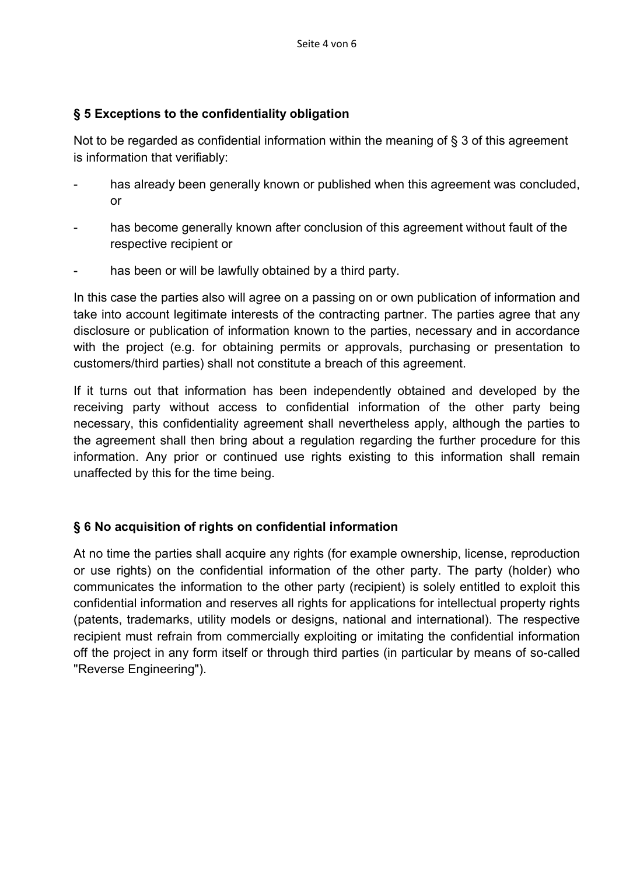## § 5 Exceptions to the confidentiality obligation

Not to be regarded as confidential information within the meaning of § 3 of this agreement is information that verifiably:

- has already been generally known or published when this agreement was concluded, or
- has become generally known after conclusion of this agreement without fault of the respective recipient or
- has been or will be lawfully obtained by a third party.

In this case the parties also will agree on a passing on or own publication of information and take into account legitimate interests of the contracting partner. The parties agree that any disclosure or publication of information known to the parties, necessary and in accordance with the project (e.g. for obtaining permits or approvals, purchasing or presentation to customers/third parties) shall not constitute a breach of this agreement.

If it turns out that information has been independently obtained and developed by the receiving party without access to confidential information of the other party being necessary, this confidentiality agreement shall nevertheless apply, although the parties to the agreement shall then bring about a regulation regarding the further procedure for this information. Any prior or continued use rights existing to this information shall remain unaffected by this for the time being.

## § 6 No acquisition of rights on confidential information

At no time the parties shall acquire any rights (for example ownership, license, reproduction or use rights) on the confidential information of the other party. The party (holder) who communicates the information to the other party (recipient) is solely entitled to exploit this confidential information and reserves all rights for applications for intellectual property rights (patents, trademarks, utility models or designs, national and international). The respective recipient must refrain from commercially exploiting or imitating the confidential information off the project in any form itself or through third parties (in particular by means of so-called "Reverse Engineering").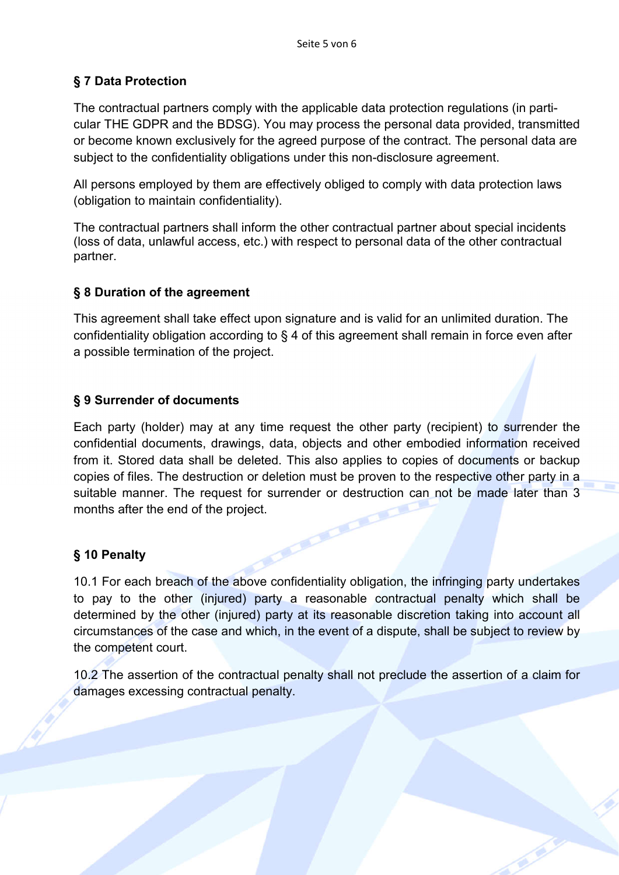## § 7 Data Protection

The contractual partners comply with the applicable data protection regulations (in particular THE GDPR and the BDSG). You may process the personal data provided, transmitted or become known exclusively for the agreed purpose of the contract. The personal data are subject to the confidentiality obligations under this non-disclosure agreement.

All persons employed by them are effectively obliged to comply with data protection laws (obligation to maintain confidentiality).

The contractual partners shall inform the other contractual partner about special incidents (loss of data, unlawful access, etc.) with respect to personal data of the other contractual partner.

### § 8 Duration of the agreement

This agreement shall take effect upon signature and is valid for an unlimited duration. The confidentiality obligation according to § 4 of this agreement shall remain in force even after a possible termination of the project.

### § 9 Surrender of documents

Each party (holder) may at any time request the other party (recipient) to surrender the confidential documents, drawings, data, objects and other embodied information received from it. Stored data shall be deleted. This also applies to copies of documents or backup copies of files. The destruction or deletion must be proven to the respective other party in a suitable manner. The request for surrender or destruction can not be made later than 3 months after the end of the project.

### § 10 Penalty

10.1 For each breach of the above confidentiality obligation, the infringing party undertakes to pay to the other (injured) party a reasonable contractual penalty which shall be determined by the other (injured) party at its reasonable discretion taking into account all circumstances of the case and which, in the event of a dispute, shall be subject to review by the competent court.

10.2 The assertion of the contractual penalty shall not preclude the assertion of a claim for damages excessing contractual penalty.